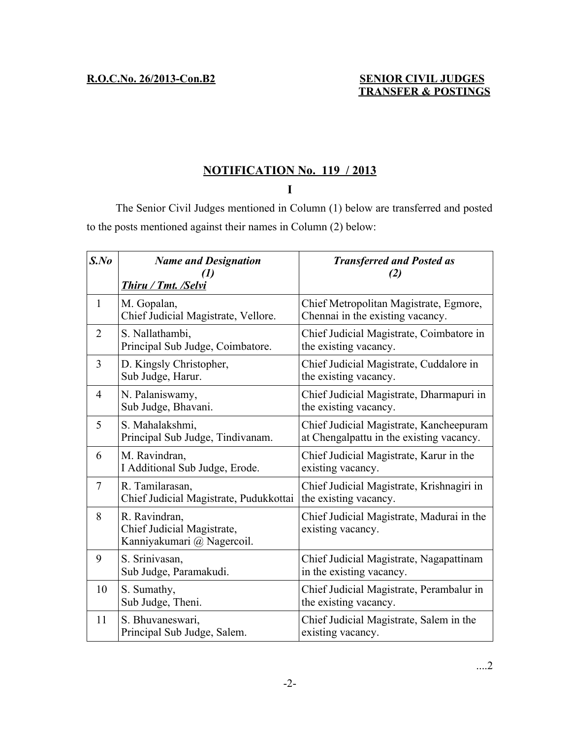## **NOTIFICATION No. 119 / 2013**

**I**

The Senior Civil Judges mentioned in Column (1) below are transferred and posted to the posts mentioned against their names in Column (2) below:

| $S$ .No        | <b>Name and Designation</b><br><b>Thiru / Tmt. /Selvi</b>                 | <b>Transferred and Posted as</b><br>(2)                                             |
|----------------|---------------------------------------------------------------------------|-------------------------------------------------------------------------------------|
| $\mathbf{1}$   | M. Gopalan,<br>Chief Judicial Magistrate, Vellore.                        | Chief Metropolitan Magistrate, Egmore,<br>Chennai in the existing vacancy.          |
| $\overline{2}$ | S. Nallathambi,<br>Principal Sub Judge, Coimbatore.                       | Chief Judicial Magistrate, Coimbatore in<br>the existing vacancy.                   |
| 3              | D. Kingsly Christopher,<br>Sub Judge, Harur.                              | Chief Judicial Magistrate, Cuddalore in<br>the existing vacancy.                    |
| $\overline{4}$ | N. Palaniswamy,<br>Sub Judge, Bhavani.                                    | Chief Judicial Magistrate, Dharmapuri in<br>the existing vacancy.                   |
| 5              | S. Mahalakshmi,<br>Principal Sub Judge, Tindivanam.                       | Chief Judicial Magistrate, Kancheepuram<br>at Chengalpattu in the existing vacancy. |
| 6              | M. Ravindran,<br>I Additional Sub Judge, Erode.                           | Chief Judicial Magistrate, Karur in the<br>existing vacancy.                        |
| 7              | R. Tamilarasan,<br>Chief Judicial Magistrate, Pudukkottai                 | Chief Judicial Magistrate, Krishnagiri in<br>the existing vacancy.                  |
| 8              | R. Ravindran,<br>Chief Judicial Magistrate,<br>Kanniyakumari @ Nagercoil. | Chief Judicial Magistrate, Madurai in the<br>existing vacancy.                      |
| 9              | S. Srinivasan,<br>Sub Judge, Paramakudi.                                  | Chief Judicial Magistrate, Nagapattinam<br>in the existing vacancy.                 |
| 10             | S. Sumathy,<br>Sub Judge, Theni.                                          | Chief Judicial Magistrate, Perambalur in<br>the existing vacancy.                   |
| 11             | S. Bhuvaneswari,<br>Principal Sub Judge, Salem.                           | Chief Judicial Magistrate, Salem in the<br>existing vacancy.                        |

....2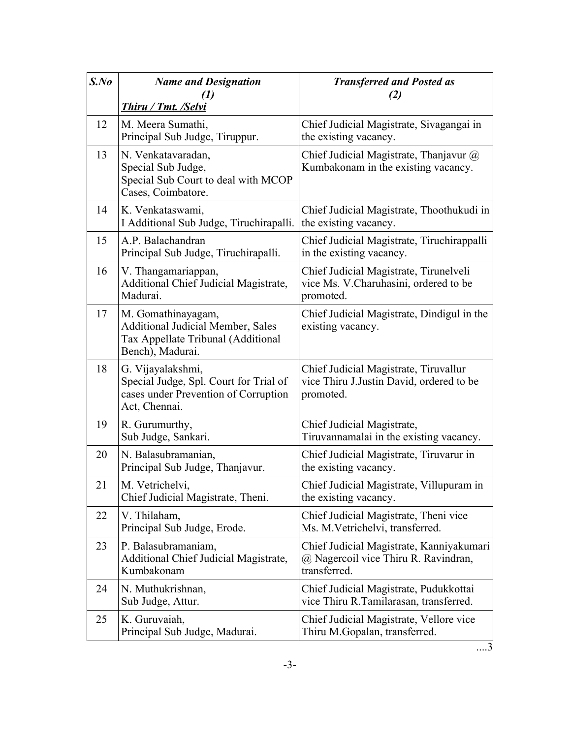| $S$ .No | <b>Name and Designation</b>                                                                                              | <b>Transferred and Posted as</b><br>(2)                                                          |
|---------|--------------------------------------------------------------------------------------------------------------------------|--------------------------------------------------------------------------------------------------|
|         | Thiru / Tmt. /Selvi                                                                                                      |                                                                                                  |
| 12      | M. Meera Sumathi,<br>Principal Sub Judge, Tiruppur.                                                                      | Chief Judicial Magistrate, Sivagangai in<br>the existing vacancy.                                |
| 13      | N. Venkatavaradan,<br>Special Sub Judge,<br>Special Sub Court to deal with MCOP<br>Cases, Coimbatore.                    | Chief Judicial Magistrate, Thanjavur @<br>Kumbakonam in the existing vacancy.                    |
| 14      | K. Venkataswami,<br>I Additional Sub Judge, Tiruchirapalli.                                                              | Chief Judicial Magistrate, Thoothukudi in<br>the existing vacancy.                               |
| 15      | A.P. Balachandran<br>Principal Sub Judge, Tiruchirapalli.                                                                | Chief Judicial Magistrate, Tiruchirappalli<br>in the existing vacancy.                           |
| 16      | V. Thangamariappan,<br><b>Additional Chief Judicial Magistrate,</b><br>Madurai.                                          | Chief Judicial Magistrate, Tirunelveli<br>vice Ms. V. Charuhasini, ordered to be<br>promoted.    |
| 17      | M. Gomathinayagam,<br><b>Additional Judicial Member, Sales</b><br>Tax Appellate Tribunal (Additional<br>Bench), Madurai. | Chief Judicial Magistrate, Dindigul in the<br>existing vacancy.                                  |
| 18      | G. Vijayalakshmi,<br>Special Judge, Spl. Court for Trial of<br>cases under Prevention of Corruption<br>Act, Chennai.     | Chief Judicial Magistrate, Tiruvallur<br>vice Thiru J.Justin David, ordered to be<br>promoted.   |
| 19      | R. Gurumurthy,<br>Sub Judge, Sankari.                                                                                    | Chief Judicial Magistrate,<br>Tiruvannamalai in the existing vacancy.                            |
| 20      | N. Balasubramanian,<br>Principal Sub Judge, Thanjavur.                                                                   | Chief Judicial Magistrate, Tiruvarur in<br>the existing vacancy.                                 |
| 21      | M. Vetrichelvi,<br>Chief Judicial Magistrate, Theni.                                                                     | Chief Judicial Magistrate, Villupuram in<br>the existing vacancy.                                |
| 22      | V. Thilaham,<br>Principal Sub Judge, Erode.                                                                              | Chief Judicial Magistrate, Theni vice<br>Ms. M. Vetrichelvi, transferred.                        |
| 23      | P. Balasubramaniam,<br><b>Additional Chief Judicial Magistrate,</b><br>Kumbakonam                                        | Chief Judicial Magistrate, Kanniyakumari<br>@ Nagercoil vice Thiru R. Ravindran,<br>transferred. |
| 24      | N. Muthukrishnan,<br>Sub Judge, Attur.                                                                                   | Chief Judicial Magistrate, Pudukkottai<br>vice Thiru R.Tamilarasan, transferred.                 |
| 25      | K. Guruvaiah,<br>Principal Sub Judge, Madurai.                                                                           | Chief Judicial Magistrate, Vellore vice<br>Thiru M.Gopalan, transferred.                         |

....3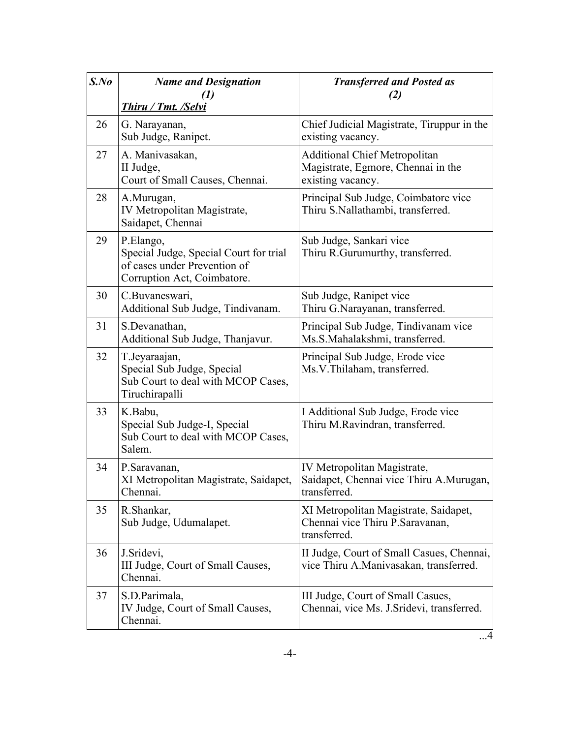| $S$ .No | <b>Name and Designation</b><br><b>Thiru / Tmt. /Selvi</b>                                                          | <b>Transferred and Posted as</b><br>(2)                                                         |
|---------|--------------------------------------------------------------------------------------------------------------------|-------------------------------------------------------------------------------------------------|
| 26      | G. Narayanan,<br>Sub Judge, Ranipet.                                                                               | Chief Judicial Magistrate, Tiruppur in the<br>existing vacancy.                                 |
| 27      | A. Manivasakan,<br>II Judge,<br>Court of Small Causes, Chennai.                                                    | <b>Additional Chief Metropolitan</b><br>Magistrate, Egmore, Chennai in the<br>existing vacancy. |
| 28      | A.Murugan,<br>IV Metropolitan Magistrate,<br>Saidapet, Chennai                                                     | Principal Sub Judge, Coimbatore vice<br>Thiru S.Nallathambi, transferred.                       |
| 29      | P.Elango,<br>Special Judge, Special Court for trial<br>of cases under Prevention of<br>Corruption Act, Coimbatore. | Sub Judge, Sankari vice<br>Thiru R.Gurumurthy, transferred.                                     |
| 30      | C.Buvaneswari,<br>Additional Sub Judge, Tindivanam.                                                                | Sub Judge, Ranipet vice<br>Thiru G.Narayanan, transferred.                                      |
| 31      | S.Devanathan,<br>Additional Sub Judge, Thanjavur.                                                                  | Principal Sub Judge, Tindivanam vice<br>Ms.S.Mahalakshmi, transferred.                          |
| 32      | T.Jeyaraajan,<br>Special Sub Judge, Special<br>Sub Court to deal with MCOP Cases,<br>Tiruchirapalli                | Principal Sub Judge, Erode vice<br>Ms.V.Thilaham, transferred.                                  |
| 33      | K.Babu,<br>Special Sub Judge-I, Special<br>Sub Court to deal with MCOP Cases,<br>Salem.                            | I Additional Sub Judge, Erode vice<br>Thiru M.Ravindran, transferred.                           |
| 34      | P.Saravanan,<br>XI Metropolitan Magistrate, Saidapet,<br>Chennai.                                                  | IV Metropolitan Magistrate,<br>Saidapet, Chennai vice Thiru A.Murugan,<br>transferred.          |
| 35      | R.Shankar,<br>Sub Judge, Udumalapet.                                                                               | XI Metropolitan Magistrate, Saidapet,<br>Chennai vice Thiru P. Saravanan,<br>transferred.       |
| 36      | J.Sridevi,<br>III Judge, Court of Small Causes,<br>Chennai.                                                        | II Judge, Court of Small Casues, Chennai,<br>vice Thiru A.Manivasakan, transferred.             |
| 37      | S.D.Parimala,<br>IV Judge, Court of Small Causes,<br>Chennai.                                                      | III Judge, Court of Small Casues,<br>Chennai, vice Ms. J. Sridevi, transferred.                 |

 $\overrightarrow{4}$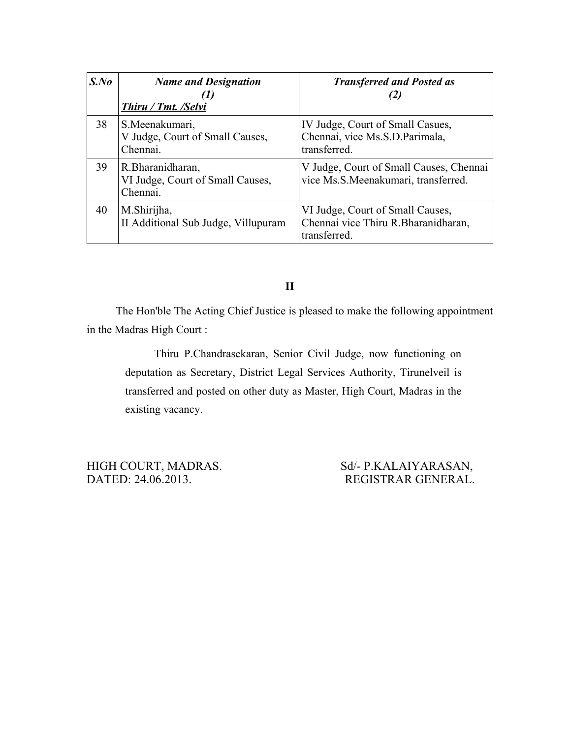| $S$ .No | <b>Name and Designation</b><br>Thiru / Tmt. /Selvi                | <b>Transferred and Posted as</b>                                                         |
|---------|-------------------------------------------------------------------|------------------------------------------------------------------------------------------|
| 38      | S.Meenakumari,<br>V Judge, Court of Small Causes,<br>Chennai.     | IV Judge, Court of Small Casues,<br>Chennai, vice Ms.S.D.Parimala,<br>transferred.       |
| 39      | R. Bharanidharan,<br>VI Judge, Court of Small Causes,<br>Chennai. | V Judge, Court of Small Causes, Chennai<br>vice Ms.S.Meenakumari, transferred.           |
| 40      | M.Shirijha,<br>II Additional Sub Judge, Villupuram                | VI Judge, Court of Small Causes,<br>Chennai vice Thiru R. Bharanidharan,<br>transferred. |

**II**

The Hon'ble The Acting Chief Justice is pleased to make the following appointment in the Madras High Court :

Thiru P.Chandrasekaran, Senior Civil Judge, now functioning on deputation as Secretary, District Legal Services Authority, Tirunelveil is transferred and posted on other duty as Master, High Court, Madras in the existing vacancy.

DATED: 24.06.2013. REGISTRAR GENERAL.

HIGH COURT, MADRAS. Sd/- P.KALAIYARASAN,